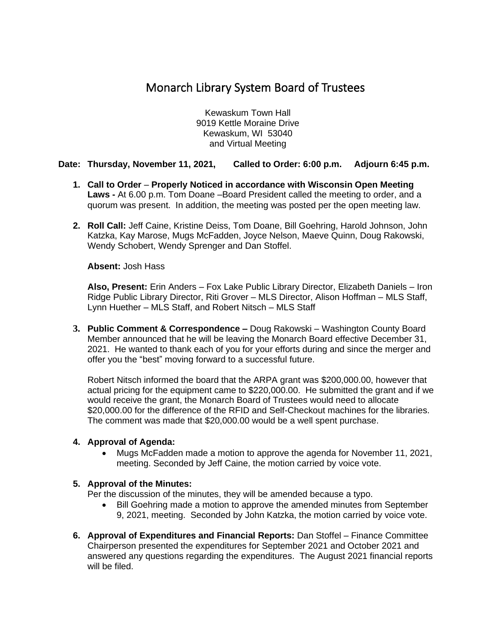# Monarch Library System Board of Trustees

Kewaskum Town Hall 9019 Kettle Moraine Drive Kewaskum, WI 53040 and Virtual Meeting

# **Date: Thursday, November 11, 2021, Called to Order: 6:00 p.m. Adjourn 6:45 p.m.**

- **1. Call to Order Properly Noticed in accordance with Wisconsin Open Meeting Laws -** At 6.00 p.m. Tom Doane –Board President called the meeting to order, and a quorum was present. In addition, the meeting was posted per the open meeting law.
- **2. Roll Call:** Jeff Caine, Kristine Deiss, Tom Doane, Bill Goehring, Harold Johnson, John Katzka, Kay Marose, Mugs McFadden, Joyce Nelson, Maeve Quinn, Doug Rakowski, Wendy Schobert, Wendy Sprenger and Dan Stoffel.

**Absent:** Josh Hass

**Also, Present:** Erin Anders – Fox Lake Public Library Director, Elizabeth Daniels – Iron Ridge Public Library Director, Riti Grover – MLS Director, Alison Hoffman – MLS Staff, Lynn Huether – MLS Staff, and Robert Nitsch – MLS Staff

**3. Public Comment & Correspondence –** Doug Rakowski – Washington County Board Member announced that he will be leaving the Monarch Board effective December 31, 2021. He wanted to thank each of you for your efforts during and since the merger and offer you the "best" moving forward to a successful future.

Robert Nitsch informed the board that the ARPA grant was \$200,000.00, however that actual pricing for the equipment came to \$220,000.00. He submitted the grant and if we would receive the grant, the Monarch Board of Trustees would need to allocate \$20,000.00 for the difference of the RFID and Self-Checkout machines for the libraries. The comment was made that \$20,000.00 would be a well spent purchase.

#### **4. Approval of Agenda:**

• Mugs McFadden made a motion to approve the agenda for November 11, 2021, meeting. Seconded by Jeff Caine, the motion carried by voice vote.

# **5. Approval of the Minutes:**

Per the discussion of the minutes, they will be amended because a typo.

- Bill Goehring made a motion to approve the amended minutes from September 9, 2021, meeting. Seconded by John Katzka, the motion carried by voice vote.
- **6. Approval of Expenditures and Financial Reports:** Dan Stoffel Finance Committee Chairperson presented the expenditures for September 2021 and October 2021 and answered any questions regarding the expenditures. The August 2021 financial reports will be filed.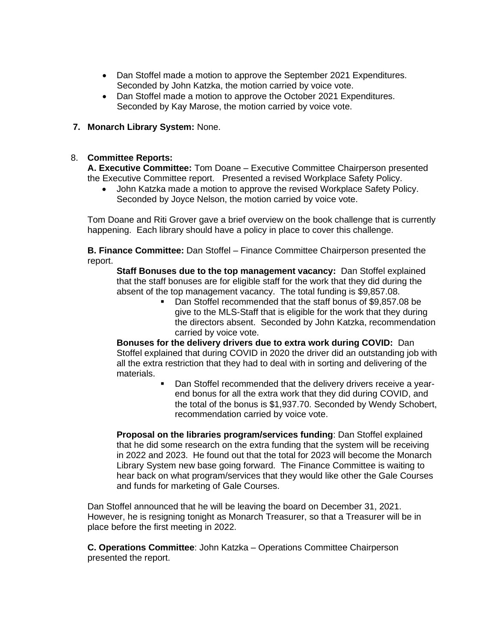- Dan Stoffel made a motion to approve the September 2021 Expenditures. Seconded by John Katzka, the motion carried by voice vote.
- Dan Stoffel made a motion to approve the October 2021 Expenditures. Seconded by Kay Marose, the motion carried by voice vote.

# **7. Monarch Library System:** None.

### 8. **Committee Reports:**

**A. Executive Committee:** Tom Doane – Executive Committee Chairperson presented the Executive Committee report. Presented a revised Workplace Safety Policy.

• John Katzka made a motion to approve the revised Workplace Safety Policy. Seconded by Joyce Nelson, the motion carried by voice vote.

Tom Doane and Riti Grover gave a brief overview on the book challenge that is currently happening. Each library should have a policy in place to cover this challenge.

**B. Finance Committee:** Dan Stoffel – Finance Committee Chairperson presented the report.

**Staff Bonuses due to the top management vacancy:** Dan Stoffel explained that the staff bonuses are for eligible staff for the work that they did during the absent of the top management vacancy. The total funding is \$9,857.08.

■ Dan Stoffel recommended that the staff bonus of \$9,857.08 be give to the MLS-Staff that is eligible for the work that they during the directors absent. Seconded by John Katzka, recommendation carried by voice vote.

**Bonuses for the delivery drivers due to extra work during COVID:** Dan Stoffel explained that during COVID in 2020 the driver did an outstanding job with all the extra restriction that they had to deal with in sorting and delivering of the materials.

> Dan Stoffel recommended that the delivery drivers receive a yearend bonus for all the extra work that they did during COVID, and the total of the bonus is \$1,937.70. Seconded by Wendy Schobert, recommendation carried by voice vote.

**Proposal on the libraries program/services funding**: Dan Stoffel explained that he did some research on the extra funding that the system will be receiving in 2022 and 2023. He found out that the total for 2023 will become the Monarch Library System new base going forward. The Finance Committee is waiting to hear back on what program/services that they would like other the Gale Courses and funds for marketing of Gale Courses.

Dan Stoffel announced that he will be leaving the board on December 31, 2021. However, he is resigning tonight as Monarch Treasurer, so that a Treasurer will be in place before the first meeting in 2022.

**C. Operations Committee**: John Katzka – Operations Committee Chairperson presented the report.